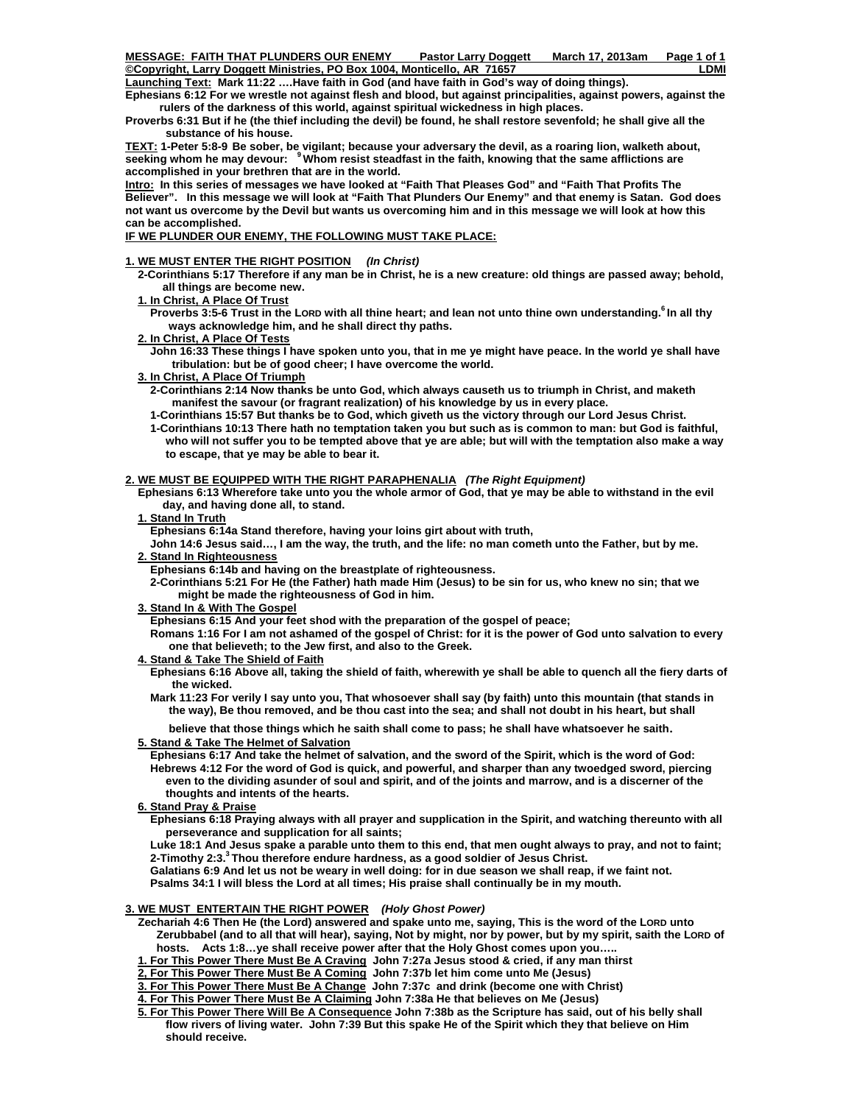Launching Text: Mark 11:22 ....Have faith in God (and have faith in God's way of doing things).

**Ephesians 6:12 For we wrestle not against flesh and blood, but against principalities, against powers, against the rulers of the darkness of this world, against spiritual wickedness in high places.** 

**Proverbs 6:31 But if he (the thief including the devil) be found, he shall restore sevenfold; he shall give all the substance of his house.** 

**TEXT: 1-Peter 5:8-9 Be sober, be vigilant; because your adversary the devil, as a roaring lion, walketh about, seeking whom he may devour: 9 Whom resist steadfast in the faith, knowing that the same afflictions are accomplished in your brethren that are in the world.**

**Intro: In this series of messages we have looked at "Faith That Pleases God" and "Faith That Profits The Believer". In this message we will look at "Faith That Plunders Our Enemy" and that enemy is Satan. God does not want us overcome by the Devil but wants us overcoming him and in this message we will look at how this can be accomplished.** 

# **IF WE PLUNDER OUR ENEMY, THE FOLLOWING MUST TAKE PLACE:**

# **1. WE MUST ENTER THE RIGHT POSITION** *(In Christ)*

 **2-Corinthians 5:17 Therefore if any man be in Christ, he is a new creature: old things are passed away; behold, all things are become new.** 

 **1. In Christ, A Place Of Trust**

**Proverbs 3:5-6 Trust in the LORD with all thine heart; and lean not unto thine own understanding.<sup>6</sup> In all thy ways acknowledge him, and he shall direct thy paths.**

### **2. In Christ, A Place Of Tests**

 **John 16:33 These things I have spoken unto you, that in me ye might have peace. In the world ye shall have tribulation: but be of good cheer; I have overcome the world.**

### **3. In Christ, A Place Of Triumph**

 **2-Corinthians 2:14 Now thanks be unto God, which always causeth us to triumph in Christ, and maketh manifest the savour (or fragrant realization) of his knowledge by us in every place.** 

 **1-Corinthians 15:57 But thanks be to God, which giveth us the victory through our Lord Jesus Christ.** 

 **1-Corinthians 10:13 There hath no temptation taken you but such as is common to man: but God is faithful, who will not suffer you to be tempted above that ye are able; but will with the temptation also make a way to escape, that ye may be able to bear it.** 

### **2. WE MUST BE EQUIPPED WITH THE RIGHT PARAPHENALIA** *(The Right Equipment)*

 **Ephesians 6:13 Wherefore take unto you the whole armor of God, that ye may be able to withstand in the evil day, and having done all, to stand.** 

 **1. Stand In Truth**

 **Ephesians 6:14a Stand therefore, having your loins girt about with truth,** 

 **John 14:6 Jesus said…, I am the way, the truth, and the life: no man cometh unto the Father, but by me.** 

 **2. Stand In Righteousness**

 **Ephesians 6:14b and having on the breastplate of righteousness.** 

 **2-Corinthians 5:21 For He (the Father) hath made Him (Jesus) to be sin for us, who knew no sin; that we might be made the righteousness of God in him.** 

## **3. Stand In & With The Gospel**

 **Ephesians 6:15 And your feet shod with the preparation of the gospel of peace;** 

 **Romans 1:16 For I am not ashamed of the gospel of Christ: for it is the power of God unto salvation to every one that believeth; to the Jew first, and also to the Greek.** 

#### **4. Stand & Take The Shield of Faith**

 **Ephesians 6:16 Above all, taking the shield of faith, wherewith ye shall be able to quench all the fiery darts of the wicked.** 

 **Mark 11:23 For verily I say unto you, That whosoever shall say (by faith) unto this mountain (that stands in the way), Be thou removed, and be thou cast into the sea; and shall not doubt in his heart, but shall** 

 **believe that those things which he saith shall come to pass; he shall have whatsoever he saith**.

## **5. Stand & Take The Helmet of Salvation**

 **Ephesians 6:17 And take the helmet of salvation, and the sword of the Spirit, which is the word of God: Hebrews 4:12 For the word of God is quick, and powerful, and sharper than any twoedged sword, piercing even to the dividing asunder of soul and spirit, and of the joints and marrow, and is a discerner of the thoughts and intents of the hearts.** 

 **6. Stand Pray & Praise**

 **Ephesians 6:18 Praying always with all prayer and supplication in the Spirit, and watching thereunto with all perseverance and supplication for all saints;** 

 **Luke 18:1 And Jesus spake a parable unto them to this end, that men ought always to pray, and not to faint; 2-Timothy 2:3.3 Thou therefore endure hardness, as a good soldier of Jesus Christ.** 

 **Galatians 6:9 And let us not be weary in well doing: for in due season we shall reap, if we faint not.** 

 **Psalms 34:1 I will bless the Lord at all times; His praise shall continually be in my mouth.** 

# **3. WE MUST ENTERTAIN THE RIGHT POWER** *(Holy Ghost Power)*

 **Zechariah 4:6 Then He (the Lord) answered and spake unto me, saying, This is the word of the LORD unto Zerubbabel (and to all that will hear), saying, Not by might, nor by power, but by my spirit, saith the LORD of hosts. Acts 1:8…ye shall receive power after that the Holy Ghost comes upon you…..** 

 **1. For This Power There Must Be A Craving John 7:27a Jesus stood & cried, if any man thirst** 

 **2, For This Power There Must Be A Coming John 7:37b let him come unto Me (Jesus)** 

 **3. For This Power There Must Be A Change John 7:37c and drink (become one with Christ)** 

 **4. For This Power There Must Be A Claiming John 7:38a He that believes on Me (Jesus)** 

 **5. For This Power There Will Be A Consequence John 7:38b as the Scripture has said, out of his belly shall flow rivers of living water. John 7:39 But this spake He of the Spirit which they that believe on Him should receive.**